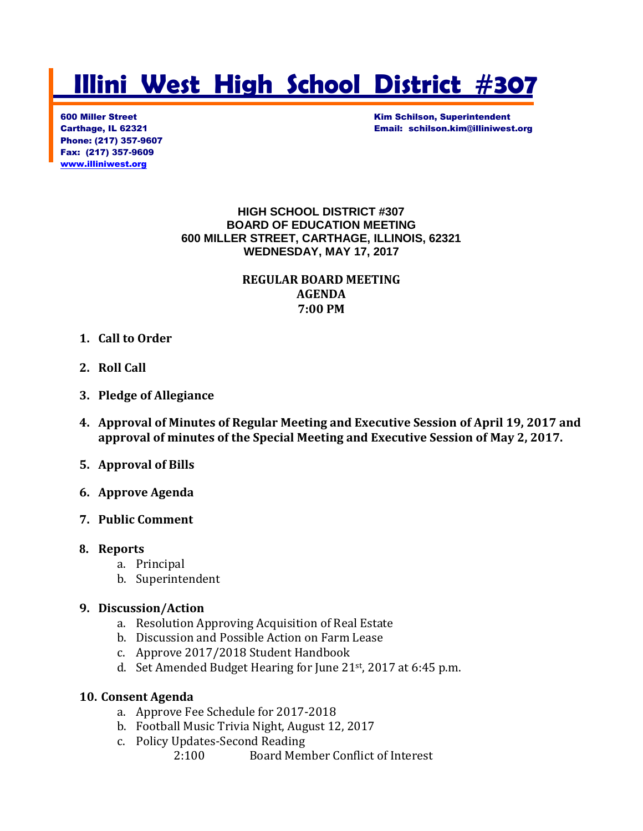# **Illini West High School District #307**

Phone: (217) 357-9607 Fax: (217) 357-9609 [www.illiniwest.org](http://www.illiniwest.org/)

600 Miller Street Kim Schilson, Superintendent Carthage, IL 62321 Email: schilson.kim@illiniwest.org

> **HIGH SCHOOL DISTRICT #307 BOARD OF EDUCATION MEETING 600 MILLER STREET, CARTHAGE, ILLINOIS, 62321 WEDNESDAY, MAY 17, 2017**

### **REGULAR BOARD MEETING AGENDA 7:00 PM**

- **1. Call to Order**
- **2. Roll Call**
- **3. Pledge of Allegiance**
- **4. Approval of Minutes of Regular Meeting and Executive Session of April 19, 2017 and approval of minutes of the Special Meeting and Executive Session of May 2, 2017.**
- **5. Approval of Bills**
- **6. Approve Agenda**
- **7. Public Comment**
- **8. Reports**
	- a. Principal
	- b. Superintendent

#### **9. Discussion/Action**

- a. Resolution Approving Acquisition of Real Estate
- b. Discussion and Possible Action on Farm Lease
- c. Approve 2017/2018 Student Handbook
- d. Set Amended Budget Hearing for June 21st, 2017 at 6:45 p.m.

#### **10. Consent Agenda**

- a. Approve Fee Schedule for 2017-2018
- b. Football Music Trivia Night, August 12, 2017
- c. Policy Updates-Second Reading
	- 2:100 Board Member Conflict of Interest